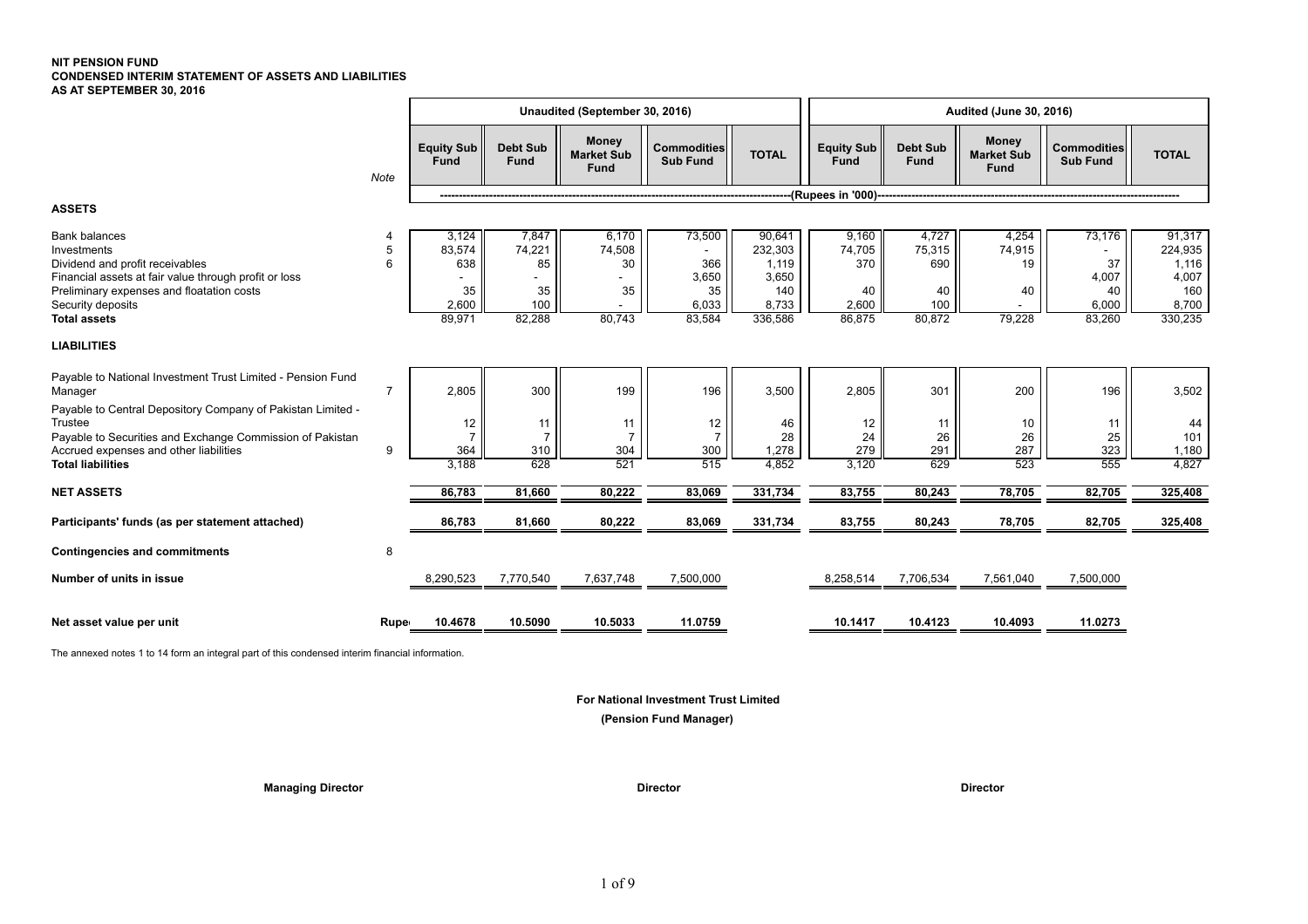### **NIT PENSION FUND CONDENSED INTERIM STATEMENT OF ASSETS AND LIABILITIES AS AT SEPTEMBER 30, 2016**

|                                                                                                                                                                                                                          |                |                                                 |                                              | Unaudited (September 30, 2016)                   |                                                 |                                                                |                                                 |                                               | <b>Audited (June 30, 2016)</b>                   |                                                |                                                                |
|--------------------------------------------------------------------------------------------------------------------------------------------------------------------------------------------------------------------------|----------------|-------------------------------------------------|----------------------------------------------|--------------------------------------------------|-------------------------------------------------|----------------------------------------------------------------|-------------------------------------------------|-----------------------------------------------|--------------------------------------------------|------------------------------------------------|----------------------------------------------------------------|
|                                                                                                                                                                                                                          | Note           | <b>Equity Sub</b><br><b>Fund</b>                | <b>Debt Sub</b><br>Fund                      | <b>Money</b><br><b>Market Sub</b><br><b>Fund</b> | <b>Commodities</b><br><b>Sub Fund</b>           | <b>TOTAL</b>                                                   | <b>Equity Sub</b><br>Fund                       | <b>Debt Sub</b><br>Fund                       | <b>Money</b><br><b>Market Sub</b><br><b>Fund</b> | <b>Commodities</b><br><b>Sub Fund</b>          | <b>TOTAL</b>                                                   |
|                                                                                                                                                                                                                          |                |                                                 |                                              |                                                  |                                                 |                                                                | -(Rupees in '000)-                              |                                               |                                                  |                                                |                                                                |
| <b>ASSETS</b>                                                                                                                                                                                                            |                |                                                 |                                              |                                                  |                                                 |                                                                |                                                 |                                               |                                                  |                                                |                                                                |
| <b>Bank balances</b><br>Investments<br>Dividend and profit receivables<br>Financial assets at fair value through profit or loss<br>Preliminary expenses and floatation costs<br>Security deposits<br><b>Total assets</b> | 5<br>6         | 3,124<br>83,574<br>638<br>35<br>2,600<br>89,971 | 7,847<br>74,221<br>85<br>35<br>100<br>82,288 | 6,170<br>74,508<br>30<br>35<br>80,743            | 73,500<br>366<br>3,650<br>35<br>6,033<br>83,584 | 90,641<br>232,303<br>1,119<br>3,650<br>140<br>8,733<br>336,586 | 9,160<br>74,705<br>370<br>40<br>2,600<br>86,875 | 4,727<br>75,315<br>690<br>40<br>100<br>80,872 | 4,254<br>74,915<br>19<br>40<br>79,228            | 73,176<br>37<br>4,007<br>40<br>6,000<br>83,260 | 91,317<br>224,935<br>1,116<br>4,007<br>160<br>8,700<br>330,235 |
| <b>LIABILITIES</b>                                                                                                                                                                                                       |                |                                                 |                                              |                                                  |                                                 |                                                                |                                                 |                                               |                                                  |                                                |                                                                |
| Payable to National Investment Trust Limited - Pension Fund<br>Manager                                                                                                                                                   | $\overline{7}$ | 2,805                                           | 300                                          | 199                                              | 196                                             | 3,500                                                          | 2,805                                           | 301                                           | 200                                              | 196                                            | 3,502                                                          |
| Payable to Central Depository Company of Pakistan Limited -<br>Trustee<br>Payable to Securities and Exchange Commission of Pakistan<br>Accrued expenses and other liabilities<br><b>Total liabilities</b>                | 9              | 12<br>364<br>3.188                              | 11<br>$\overline{7}$<br>310<br>628           | 11<br>$\overline{7}$<br>304<br>521               | 12<br>$\overline{7}$<br>300<br>515              | 46<br>28<br>1,278<br>4,852                                     | 12<br>24<br>279<br>3,120                        | 11<br>26<br>291<br>629                        | 10<br>26<br>287<br>523                           | 11<br>25<br>323<br>555                         | 44<br>101<br>1,180<br>4,827                                    |
| <b>NET ASSETS</b>                                                                                                                                                                                                        |                | 86,783                                          | 81,660                                       | 80,222                                           | 83,069                                          | 331,734                                                        | 83,755                                          | 80,243                                        | 78,705                                           | 82,705                                         | 325,408                                                        |
| Participants' funds (as per statement attached)                                                                                                                                                                          |                | 86,783                                          | 81,660                                       | 80,222                                           | 83,069                                          | 331,734                                                        | 83,755                                          | 80,243                                        | 78,705                                           | 82,705                                         | 325,408                                                        |
| <b>Contingencies and commitments</b>                                                                                                                                                                                     | 8              |                                                 |                                              |                                                  |                                                 |                                                                |                                                 |                                               |                                                  |                                                |                                                                |
| Number of units in issue                                                                                                                                                                                                 |                | 8,290,523                                       | 7,770,540                                    | 7,637,748                                        | 7,500,000                                       |                                                                | 8,258,514                                       | 7,706,534                                     | 7,561,040                                        | 7,500,000                                      |                                                                |
| Net asset value per unit                                                                                                                                                                                                 | Rupe           | 10.4678                                         | 10.5090                                      | 10.5033                                          | 11.0759                                         |                                                                | 10.1417                                         | 10.4123                                       | 10.4093                                          | 11.0273                                        |                                                                |
|                                                                                                                                                                                                                          |                |                                                 |                                              |                                                  |                                                 |                                                                |                                                 |                                               |                                                  |                                                |                                                                |

The annexed notes 1 to 14 form an integral part of this condensed interim financial information.

 **For National Investment Trust Limited**

 **(Pension Fund Manager)**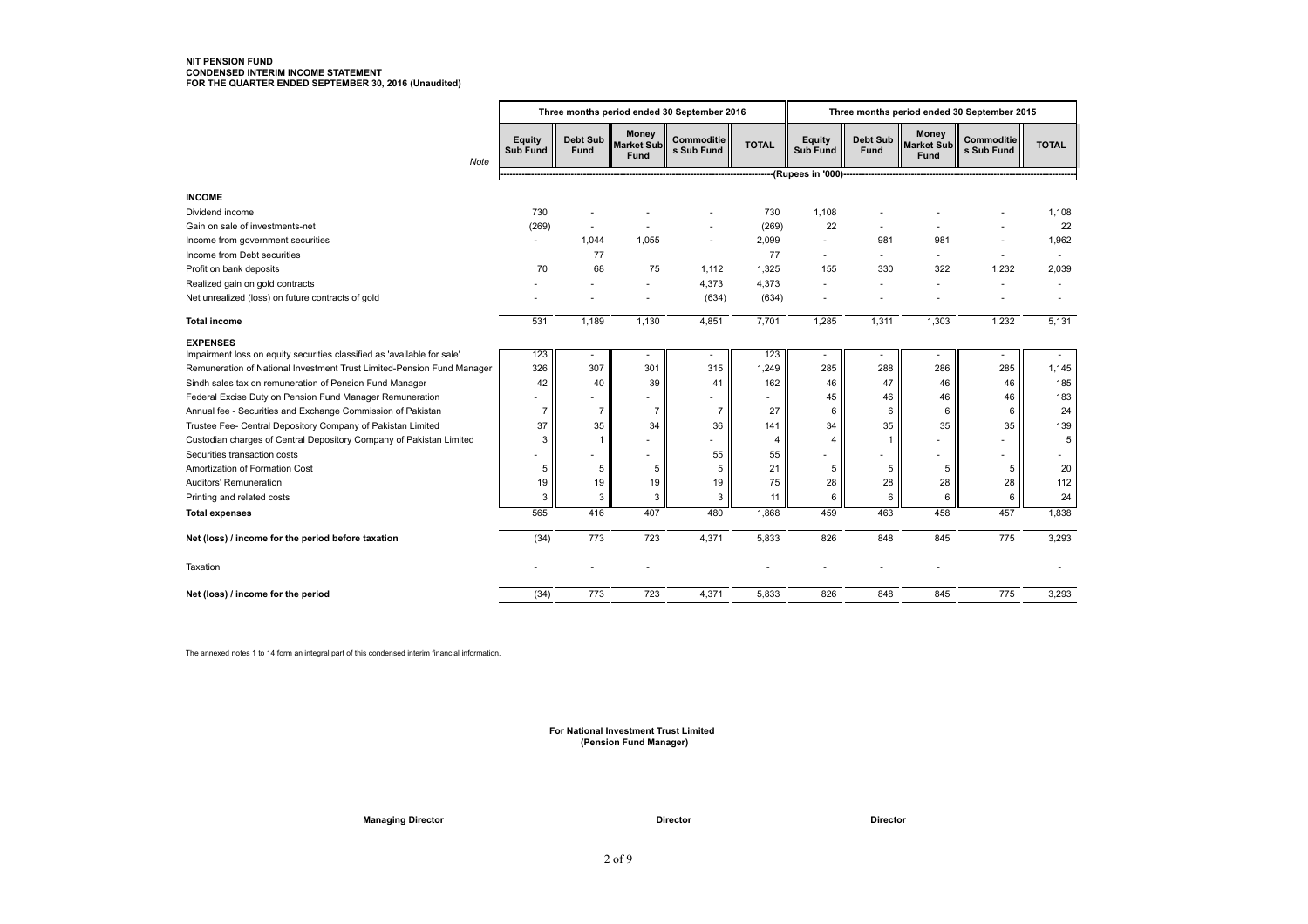# **NIT PENSION FUND CONDENSED INTERIM INCOME STATEMENT FOR THE QUARTER ENDED SEPTEMBER 30, 2016 (Unaudited)**

|                                                                                            | Three months period ended 30 September 2016 |                         |                                           |                          |                |                                  |                         |                                           | Three months period ended 30 September 2015 |              |
|--------------------------------------------------------------------------------------------|---------------------------------------------|-------------------------|-------------------------------------------|--------------------------|----------------|----------------------------------|-------------------------|-------------------------------------------|---------------------------------------------|--------------|
| Note                                                                                       | Equity<br><b>Sub Fund</b>                   | Debt Sub<br><b>Fund</b> | <b>Money</b><br><b>Market Sub</b><br>Fund | Commoditie<br>s Sub Fund | <b>TOTAL</b>   | <b>Equity</b><br><b>Sub Fund</b> | <b>Debt Sub</b><br>Fund | <b>Money</b><br><b>Market Sub</b><br>Fund | Commoditie<br>s Sub Fund                    | <b>TOTAL</b> |
|                                                                                            |                                             |                         |                                           |                          |                | (Rupees in '000)--               |                         |                                           |                                             |              |
| <b>INCOME</b>                                                                              |                                             |                         |                                           |                          |                |                                  |                         |                                           |                                             |              |
| Dividend income                                                                            | 730                                         |                         |                                           |                          | 730            | 1,108                            |                         |                                           |                                             | 1,108        |
| Gain on sale of investments-net                                                            | (269)                                       |                         |                                           |                          | (269)          | 22                               |                         |                                           |                                             | 22           |
| Income from government securities                                                          | ٠                                           | 1,044                   | 1,055                                     | ٠                        | 2,099          | $\sim$                           | 981                     | 981                                       |                                             | 1,962        |
| Income from Debt securities                                                                |                                             | 77                      |                                           |                          | 77             | $\sim$                           |                         |                                           |                                             | ٠            |
| Profit on bank deposits                                                                    | 70                                          | 68                      | 75                                        | 1,112                    | 1,325          | 155                              | 330                     | 322                                       | 1,232                                       | 2,039        |
| Realized gain on gold contracts                                                            |                                             |                         | ٠                                         | 4,373                    | 4,373          |                                  |                         |                                           |                                             |              |
| Net unrealized (loss) on future contracts of gold                                          |                                             |                         | ٠                                         | (634)                    | (634)          |                                  |                         |                                           |                                             |              |
| <b>Total income</b>                                                                        | 531                                         | 1.189                   | 1,130                                     | 4,851                    | 7,701          | 1,285                            | 1,311                   | 1,303                                     | 1,232                                       | 5,131        |
|                                                                                            |                                             |                         |                                           |                          |                |                                  |                         |                                           |                                             |              |
| <b>EXPENSES</b><br>Impairment loss on equity securities classified as 'available for sale' | 123                                         |                         |                                           |                          | 123            |                                  |                         |                                           |                                             |              |
| Remuneration of National Investment Trust Limited-Pension Fund Manager                     | 326                                         | 307                     | 301                                       | 315                      | 1,249          | 285                              | 288                     | 286                                       | 285                                         | 1,145        |
| Sindh sales tax on remuneration of Pension Fund Manager                                    | 42                                          | 40                      | 39                                        | 41                       | 162            | 46                               | 47                      | 46                                        | 46                                          | 185          |
| Federal Excise Duty on Pension Fund Manager Remuneration                                   |                                             |                         |                                           | ٠                        |                | 45                               | 46                      | 46                                        | 46                                          | 183          |
| Annual fee - Securities and Exchange Commission of Pakistan                                | $\overline{7}$                              | $\overline{7}$          | $\overline{7}$                            | $\overline{7}$           | 27             | 6                                | 6                       | 6                                         | 6                                           | 24           |
| Trustee Fee- Central Depository Company of Pakistan Limited                                | 37                                          | 35                      | 34                                        | 36                       | 141            | 34                               | 35                      | 35                                        | 35                                          | 139          |
| Custodian charges of Central Depository Company of Pakistan Limited                        | 3                                           | $\mathbf{1}$            | ٠                                         | ä,                       | $\overline{4}$ | 4                                | 1                       |                                           |                                             | 5            |
| Securities transaction costs                                                               |                                             |                         | ٠                                         | 55                       | 55             |                                  |                         |                                           |                                             |              |
| Amortization of Formation Cost                                                             | 5                                           | 5                       | 5                                         | 5                        | 21             | 5                                | 5                       | 5                                         | 5                                           | 20           |
| Auditors' Remuneration                                                                     | 19                                          | 19                      | 19                                        | 19                       | 75             | 28                               | 28                      | 28                                        | 28                                          | 112          |
| Printing and related costs                                                                 | 3                                           | 3                       | 3                                         | 3                        | 11             | 6                                | 6                       | 6                                         | 6                                           | 24           |
| <b>Total expenses</b>                                                                      | 565                                         | 416                     | 407                                       | 480                      | 1,868          | 459                              | 463                     | 458                                       | 457                                         | 1,838        |
| Net (loss) / income for the period before taxation                                         | (34)                                        | 773                     | 723                                       | 4,371                    | 5,833          | 826                              | 848                     | 845                                       | 775                                         | 3,293        |
| Taxation                                                                                   |                                             |                         |                                           |                          |                |                                  |                         |                                           |                                             |              |
| Net (loss) / income for the period                                                         | (34)                                        | 773                     | 723                                       | 4,371                    | 5,833          | 826                              | 848                     | 845                                       | 775                                         | 3,293        |

The annexed notes 1 to 14 form an integral part of this condensed interim financial information.

 **For National Investment Trust Limited (Pension Fund Manager)**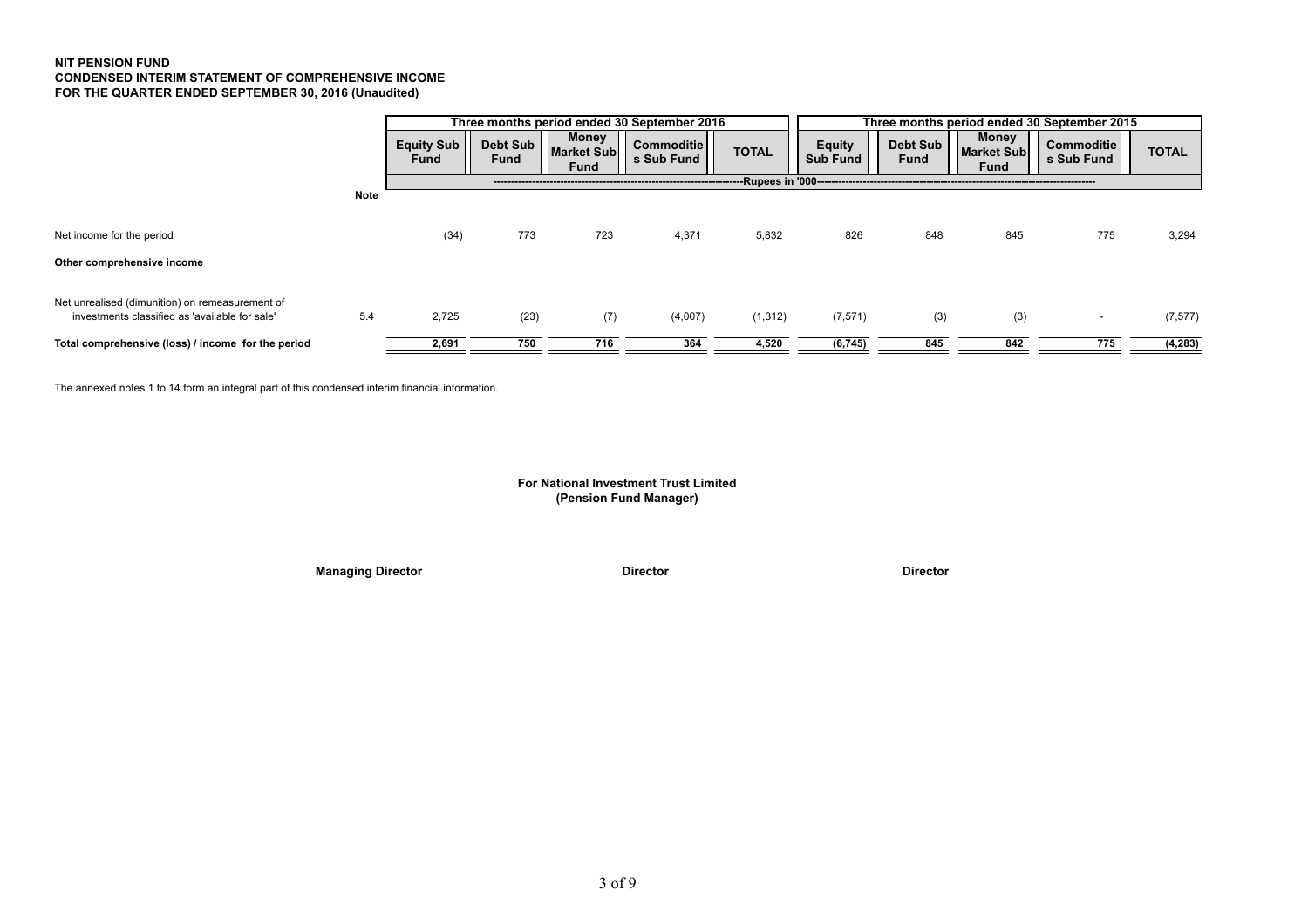# **NIT PENSION FUND CONDENSED INTERIM STATEMENT OF COMPREHENSIVE INCOME FOR THE QUARTER ENDED SEPTEMBER 30, 2016 (Unaudited)**

|                                                                                                   |             |                           |                  |                                           | Three months period ended 30 September 2016 | Three months period ended 30 September 2015 |                                                  |                         |                                           |                          |              |
|---------------------------------------------------------------------------------------------------|-------------|---------------------------|------------------|-------------------------------------------|---------------------------------------------|---------------------------------------------|--------------------------------------------------|-------------------------|-------------------------------------------|--------------------------|--------------|
|                                                                                                   |             | Equity Sub<br><b>Fund</b> | Debt Sub<br>Fund | <b>Money</b><br><b>Market Sub</b><br>Fund | <b>Commoditie</b><br>s Sub Fund             | <b>TOTAL</b>                                | <b>Equity</b><br><b>Sub Fund</b>                 | <b>Debt Sub</b><br>Fund | Money<br><b>Market Sub</b><br><b>Fund</b> | Commoditie<br>s Sub Fund | <b>TOTAL</b> |
|                                                                                                   |             |                           |                  |                                           |                                             |                                             | --Rupees in '000-------------------------------- |                         |                                           |                          |              |
|                                                                                                   | <b>Note</b> |                           |                  |                                           |                                             |                                             |                                                  |                         |                                           |                          |              |
| Net income for the period                                                                         |             | (34)                      | 773              | 723                                       | 4,371                                       | 5,832                                       | 826                                              | 848                     | 845                                       | 775                      | 3,294        |
| Other comprehensive income                                                                        |             |                           |                  |                                           |                                             |                                             |                                                  |                         |                                           |                          |              |
| Net unrealised (dimunition) on remeasurement of<br>investments classified as 'available for sale' | 5.4         | 2,725                     | (23)             | (7)                                       | (4,007)                                     | (1, 312)                                    | (7, 571)                                         | (3)                     | (3)                                       |                          | (7, 577)     |
| Total comprehensive (loss) / income for the period                                                |             | 2,691                     | 750              | 716                                       | 364                                         | 4,520                                       | (6, 745)                                         | 845                     | 842                                       | 775                      | (4,283)      |

The annexed notes 1 to 14 form an integral part of this condensed interim financial information.

# **For National Investment Trust Limited (Pension Fund Manager)**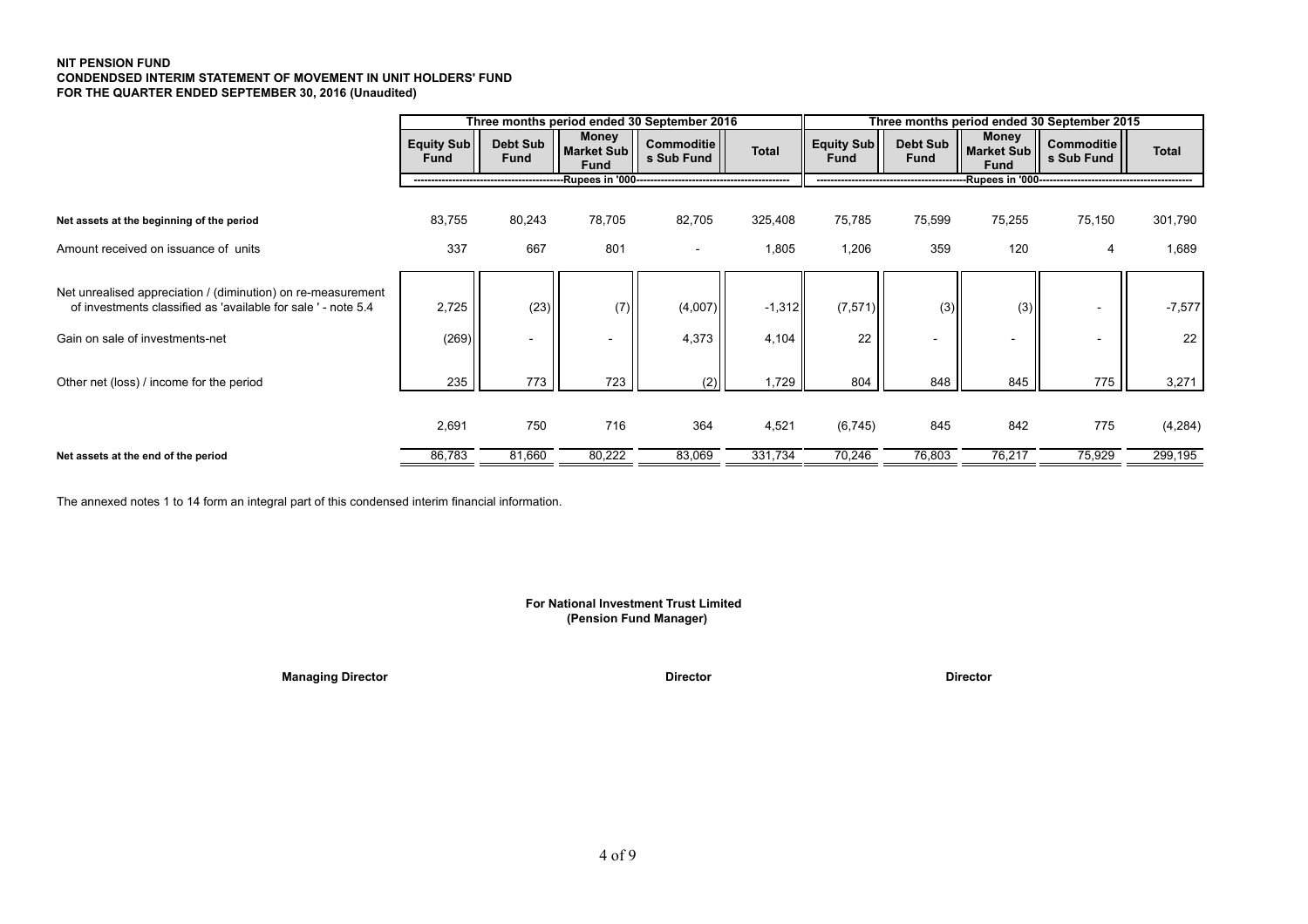# **NIT PENSION FUND CONDENDSED INTERIM STATEMENT OF MOVEMENT IN UNIT HOLDERS' FUND FOR THE QUARTER ENDED SEPTEMBER 30, 2016 (Unaudited)**

|                                                                                                                               | Three months period ended 30 September 2016<br>Three months period ended 30 September 2015 |                          |                                    |                          |              |                                  |                                |                             |                                 |              |
|-------------------------------------------------------------------------------------------------------------------------------|--------------------------------------------------------------------------------------------|--------------------------|------------------------------------|--------------------------|--------------|----------------------------------|--------------------------------|-----------------------------|---------------------------------|--------------|
|                                                                                                                               | <b>Equity Sub</b><br><b>Fund</b>                                                           | Debt Sub<br><b>Fund</b>  | <b>Money</b><br>Market Sub<br>Fund | Commoditie<br>s Sub Fund | <b>Total</b> | <b>Equity Sub</b><br><b>Fund</b> | <b>Debt Sub</b><br><b>Fund</b> | Money<br>Market Sub<br>Fund | <b>Commoditie</b><br>s Sub Fund | <b>Total</b> |
|                                                                                                                               |                                                                                            |                          |                                    |                          |              |                                  |                                |                             |                                 |              |
| Net assets at the beginning of the period                                                                                     | 83,755                                                                                     | 80,243                   | 78,705                             | 82,705                   | 325,408      | 75,785                           | 75,599                         | 75,255                      | 75,150                          | 301,790      |
| Amount received on issuance of units                                                                                          | 337                                                                                        | 667                      | 801                                | $\overline{\phantom{a}}$ | 1,805        | 1,206                            | 359                            | 120                         | 4                               | 1,689        |
| Net unrealised appreciation / (diminution) on re-measurement<br>of investments classified as 'available for sale ' - note 5.4 | 2,725                                                                                      | (23)                     | (7)                                | (4,007)                  | $-1,312$     | (7, 571)                         | (3)                            | (3)                         |                                 | $-7,577$     |
| Gain on sale of investments-net                                                                                               | (269)                                                                                      | $\overline{\phantom{0}}$ |                                    | 4,373                    | 4,104        | 22                               |                                | $\overline{\phantom{a}}$    |                                 | 22           |
| Other net (loss) / income for the period                                                                                      | 235                                                                                        | 773                      | 723                                | (2)                      | 1,729        | 804                              | 848                            | 845                         | 775                             | 3,271        |
|                                                                                                                               | 2,691                                                                                      | 750                      | 716                                | 364                      | 4,521        | (6, 745)                         | 845                            | 842                         | 775                             | (4,284)      |
| Net assets at the end of the period                                                                                           | 86,783                                                                                     | 81,660                   | 80,222                             | 83,069                   | 331,734      | 70,246                           | 76,803                         | 76,217                      | 75,929                          | 299,195      |

The annexed notes 1 to 14 form an integral part of this condensed interim financial information.

# **(Pension Fund Manager) For National Investment Trust Limited**

**Managing Director Contract Director Director Director Director Director Director Director Director**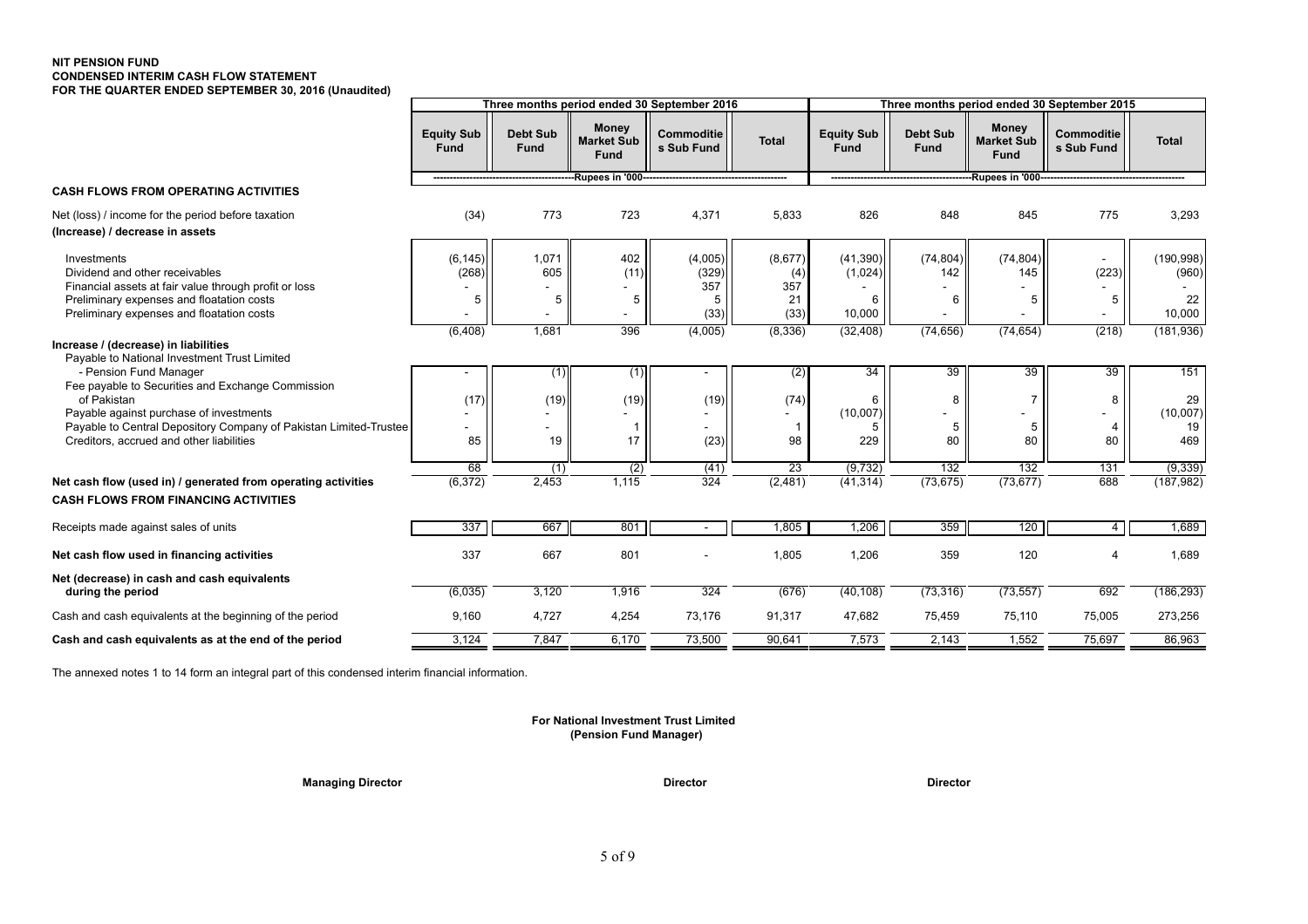### **NIT PENSION FUND CONDENSED INTERIM CASH FLOW STATEMENT FOR THE QUARTER ENDED SEPTEMBER 30, 2016 (Unaudited)**

|                                                                                                                             |                                  |                                |                                                  | Three months period ended 30 September 2016 |                            |                                  |                                |                                                  | Three months period ended 30 September 2015         |                        |
|-----------------------------------------------------------------------------------------------------------------------------|----------------------------------|--------------------------------|--------------------------------------------------|---------------------------------------------|----------------------------|----------------------------------|--------------------------------|--------------------------------------------------|-----------------------------------------------------|------------------------|
|                                                                                                                             | <b>Equity Sub</b><br><b>Fund</b> | <b>Debt Sub</b><br><b>Fund</b> | <b>Money</b><br><b>Market Sub</b><br><b>Fund</b> | <b>Commoditie</b><br>s Sub Fund             | <b>Total</b>               | <b>Equity Sub</b><br><b>Fund</b> | <b>Debt Sub</b><br><b>Fund</b> | <b>Money</b><br><b>Market Sub</b><br><b>Fund</b> | <b>Commoditie</b><br>s Sub Fund                     | <b>Total</b>           |
|                                                                                                                             |                                  |                                | --Rupees in '000------------                     |                                             |                            |                                  |                                | -Rupees in '000-------------                     |                                                     |                        |
| <b>CASH FLOWS FROM OPERATING ACTIVITIES</b>                                                                                 |                                  |                                |                                                  |                                             |                            |                                  |                                |                                                  |                                                     |                        |
| Net (loss) / income for the period before taxation<br>(Increase) / decrease in assets                                       | (34)                             | 773                            | 723                                              | 4,371                                       | 5,833                      | 826                              | 848                            | 845                                              | 775                                                 | 3,293                  |
| Investments<br>Dividend and other receivables<br>Financial assets at fair value through profit or loss                      | (6, 145)<br>(268)                | 1,071<br>605                   | 402<br>(11)                                      | (4,005)<br>(329)<br>357                     | (8,677)<br>(4)<br>357      | (41,390)<br>(1,024)              | (74, 804)<br>142               | (74, 804)<br>145                                 | (223)                                               | (190, 998)<br>(960)    |
| Preliminary expenses and floatation costs<br>Preliminary expenses and floatation costs                                      | 5                                | 5                              | 5                                                | 5<br>(33)                                   | 21<br>(33)                 | 6<br>10,000                      | 6                              | 5                                                | 5                                                   | 22<br>10,000           |
| Increase / (decrease) in liabilities<br>Payable to National Investment Trust Limited                                        | (6, 408)                         | 1,681                          | 396                                              | (4,005)                                     | (8, 336)                   | (32, 408)                        | (74, 656)                      | (74, 654)                                        | (218)                                               | (181, 936)             |
| - Pension Fund Manager<br>Fee payable to Securities and Exchange Commission                                                 |                                  | (1)                            | (1)                                              |                                             | (2)                        | 34                               | 39                             | 39                                               | 39                                                  | 151                    |
| of Pakistan<br>Payable against purchase of investments<br>Payable to Central Depository Company of Pakistan Limited-Trustee | (17)                             | (19)                           | (19)                                             | (19)                                        | (74)                       | 6<br>(10,007)<br>5               | 8<br>5                         | 5                                                | 8<br>$\qquad \qquad \blacksquare$<br>$\overline{4}$ | 29<br>(10,007)<br>19   |
| Creditors, accrued and other liabilities                                                                                    | 85                               | 19                             | 17                                               | (23)                                        | 98                         | 229                              | 80                             | 80                                               | 80                                                  | 469                    |
| Net cash flow (used in) / generated from operating activities                                                               | 68<br>(6, 372)                   | (1)<br>2,453                   | (2)<br>1,115                                     | (41)<br>324                                 | $\overline{23}$<br>(2,481) | (9, 732)<br>(41, 314)            | 132<br>(73, 675)               | 132<br>(73, 677)                                 | 131<br>688                                          | (9, 339)<br>(187, 982) |
| <b>CASH FLOWS FROM FINANCING ACTIVITIES</b>                                                                                 |                                  |                                |                                                  |                                             |                            |                                  |                                |                                                  |                                                     |                        |
| Receipts made against sales of units                                                                                        | 337                              | 667                            | 801                                              | $\overline{\phantom{a}}$                    | 1,805                      | 1,206                            | 359                            | 120                                              | $\overline{4}$                                      | 1,689                  |
| Net cash flow used in financing activities                                                                                  | 337                              | 667                            | 801                                              |                                             | 1,805                      | 1,206                            | 359                            | 120                                              |                                                     | 1,689                  |
| Net (decrease) in cash and cash equivalents<br>during the period                                                            | (6,035)                          | 3,120                          | 1,916                                            | 324                                         | (676)                      | (40, 108)                        | (73, 316)                      | (73, 557)                                        | 692                                                 | (186, 293)             |
| Cash and cash equivalents at the beginning of the period                                                                    | 9,160                            | 4,727                          | 4,254                                            | 73,176                                      | 91,317                     | 47,682                           | 75,459                         | 75,110                                           | 75,005                                              | 273,256                |
| Cash and cash equivalents as at the end of the period                                                                       | 3,124                            | 7,847                          | 6,170                                            | 73,500                                      | 90,641                     | 7,573                            | 2,143                          | 1,552                                            | 75,697                                              | 86,963                 |

The annexed notes 1 to 14 form an integral part of this condensed interim financial information.

### **For National Investment Trust Limited (Pension Fund Manager)**

**Managing Director Contracts and Contracts Contracts Director Director Contracts Director** Director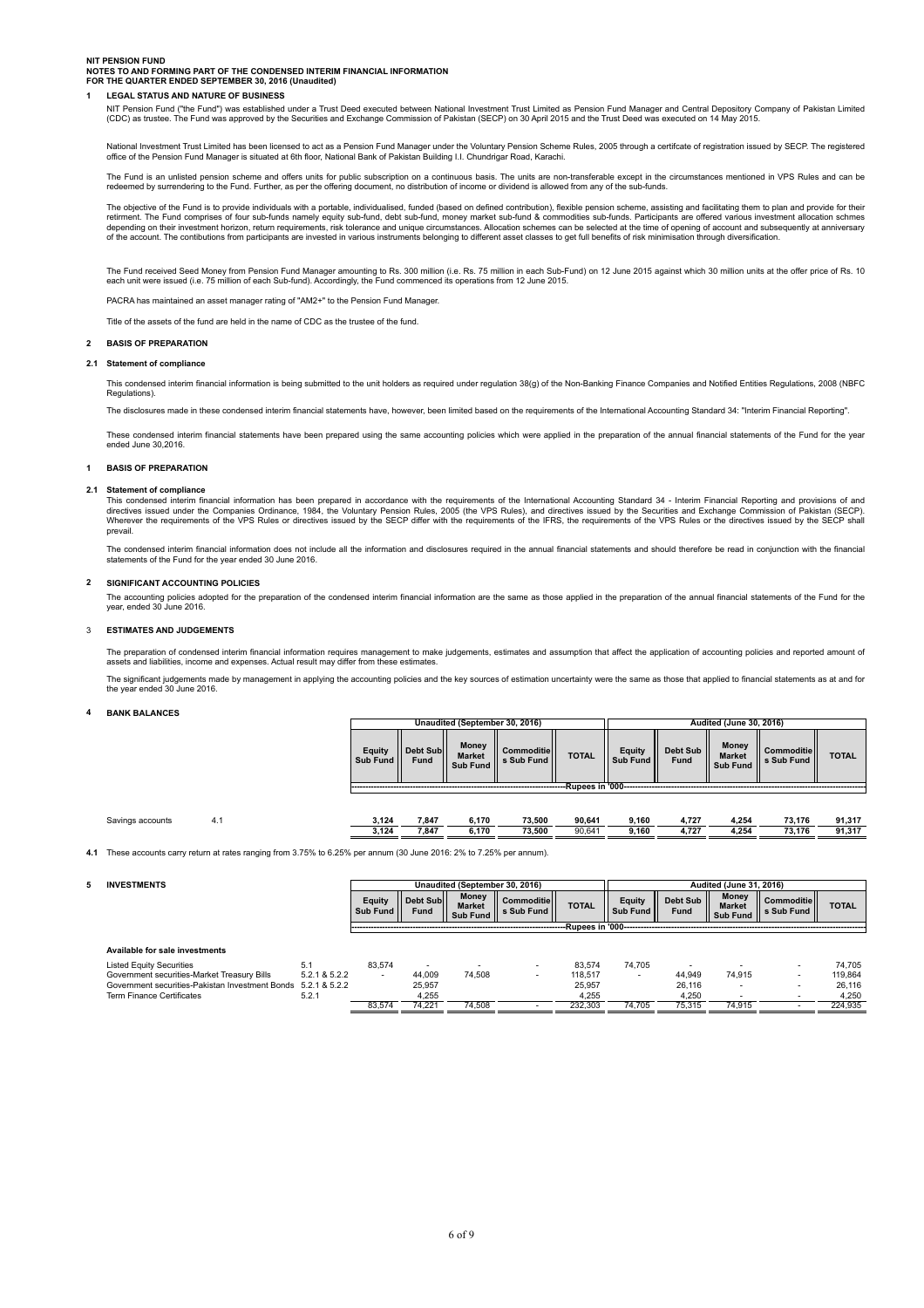### **NIT PENSION FUND**

# **NOTES TO AND FORMING PART OF THE CONDENSED INTERIM FINANCIAL INFORMATION FOR THE QUARTER ENDED SEPTEMBER 30, 2016 (Unaudited)**

# **1 LEGAL STATUS AND NATURE OF BUSINESS**

NIT Pension Fund ("the Fund") was established under a Trust Deed executed between National Investment Trust Limited as Pension Fund Manager and Central Depository Company of Pakistan Limited<br>(CDC) as trustee. The Fund was

National Investment Trust Limited has been licensed to act as a Pension Fund Manager under the Voluntary Pension Scheme Rules, 2005 through a certifcate of registration issued by SECP. The registered<br>office of the Pension

The Fund is an unlisted pension scheme and offers units for public subscription on a continuous basis. The units are non-transferable except in the circumstances mentioned in VPS Rules and can be<br>redeemed by surrendering t

The objective of the Fund is to provide individuals with a portable, individualised, funded (based on defined contribution), flexible pension scheme, assisting and facilitating them to plan and provide for their etirment.

The Fund received Seed Money from Pension Fund Manager amounting to Rs. 300 million (i.e. Rs. 75 million in each Sub-Fund) on 12 June 2015 against which 30 million units at the offer price of Rs. 10 each unit were issued (i.e. 75 million of each Sub-fund). Accordingly, the Fund commenced its operations from 12 June 2015.

PACRA has maintained an asset manager rating of "AM2+" to the Pension Fund Manager.

Title of the assets of the fund are held in the name of CDC as the trustee of the fund.

### **2 BASIS OF PREPARATION**

#### **2.1 Statement of compliance**

This condensed interim financial information is being submitted to the unit holders as required under regulation 38(g) of the Non-Banking Finance Companies and Notified Entities Regulations, 2008 (NBFC Regulations).

The disclosures made in these condensed interim financial statements have, however, been limited based on the requirements of the International Accounting Standard 34: "Interim Financial Reporting".

These condensed interim financial statements have been prepared using the same accounting policies which were applied in the preparation of the annual financial statements of the Fund for the year ended June 30,2016.

### **1 BASIS OF PREPARATION**

#### **2.1 Statement of compliance**

This condensed interim financial information has been prepared in accordance with the requirements of the International Accounting Standard 34 - Interim Financial Reporting and provisions of and<br>directives issued under the Wherever the requirements of the VPS Rules or directives issued by the SECP differ with the requirements of the IFRS, the requirements of the VPS Rules or the directives issued by the SECP shall prevail.

The condensed interim financial information does not include all the information and disclosures required in the annual financial statements and should therefore be read in conjunction with the financial statements of the Fund for the year ended 30 June 2016.

### **2 SIGNIFICANT ACCOUNTING POLICIES**

The accounting policies adopted for the preparation of the condensed interim financial information are the same as those applied in the preparation of the annual financial statements of the Fund for the year, ended 30 June 2016.

#### 3 **ESTIMATES AND JUDGEMENTS**

The preparation of condensed interim financial information requires management to make judgements, estimates and assumption that affect the application of accounting policies and reported amount of assets and liabilities, income and expenses. Actual result may differ from these estimates.

The significant judgements made by management in applying the accounting policies and the key sources of estimation uncertainty were the same as those that applied to financial statements as at and for<br>the year ended 30 Ju

### **4 BANK BALANCES**

|                  |     |                    |                  | Unaudited (September 30, 2016)     |                                |                       |                    |                  | <b>Audited (June 30, 2016)</b>            |                          |              |  |
|------------------|-----|--------------------|------------------|------------------------------------|--------------------------------|-----------------------|--------------------|------------------|-------------------------------------------|--------------------------|--------------|--|
|                  |     | Equity<br>Sub Fund | Debt Sub<br>Fund | Money<br><b>Market</b><br>Sub Fund | Commoditie<br>Il s Sub Fund II | <b>TOTAL</b>          | Equity<br>Sub Fund | Debt Sub<br>Fund | Money<br><b>Market</b><br><b>Sub Fund</b> | Commoditie<br>s Sub Fund | <b>TOTAL</b> |  |
|                  |     |                    |                  |                                    |                                | --Rupees in '000----- |                    |                  |                                           |                          |              |  |
|                  |     |                    |                  |                                    |                                |                       |                    |                  |                                           |                          |              |  |
| Savings accounts | 4.1 | 3,124              | 7.847            | 6,170                              | 73.500                         | 90.641                | 9,160              | 4.727            | 4,254                                     | 73.176                   | 91,317       |  |

 **3,124 7,847 6,170 73,500** 90,641 **9,160 4,727 4,254 73,176 91,317**

пm

**Audited (June 31, 2016)**

**4.1** These accounts carry return at rates ranging from 3.75% to 6.25% per annum (30 June 2016: 2% to 7.25% per annum).

 $\Gamma$ 

### **5 INVESTMENTS**

|                                                               |               | <b>Equity</b><br>Sub Fund II | Debt Subl<br>Fund | <b>Money</b><br><b>Market</b><br>Sub Fund | Commoditie II<br>s Sub Fund | <b>TOTAL</b>      | <b>Equity</b><br>Sub Fund I | Debt Sub II<br><b>Fund</b> | <b>Money</b><br><b>Market</b><br>Sub Fund | <b>Commoditiel</b><br>s Sub Fund | <b>TOTAL</b> |
|---------------------------------------------------------------|---------------|------------------------------|-------------------|-------------------------------------------|-----------------------------|-------------------|-----------------------------|----------------------------|-------------------------------------------|----------------------------------|--------------|
|                                                               |               |                              |                   |                                           |                             | -Rupees in '000-- |                             |                            |                                           |                                  |              |
|                                                               |               |                              |                   |                                           |                             |                   |                             |                            |                                           |                                  |              |
| Available for sale investments                                |               |                              |                   |                                           |                             |                   |                             |                            |                                           |                                  |              |
| <b>Listed Equity Securities</b>                               | 5.1           | 83.574                       |                   |                                           |                             | 83.574            | 74.705                      |                            |                                           |                                  | 74.705       |
| Government securities-Market Treasury Bills                   | 5.2.1 & 5.2.2 |                              | 44,009            | 74.508                                    | $\,$                        | 118.517           | $\overline{\phantom{a}}$    | 44.949                     | 74.915                                    |                                  | 119.864      |
| Government securities-Pakistan Investment Bonds 5.2.1 & 5.2.2 |               |                              | 25.957            |                                           |                             | 25.957            |                             | 26.116                     |                                           |                                  | 26.116       |
| <b>Term Finance Certificates</b>                              | 5.2.1         |                              | 4.255             |                                           |                             | 4.255             |                             | 4.250                      |                                           | $\overline{\phantom{a}}$         | 4,250        |
|                                                               |               | 83.574                       | 74.221            | 74.508                                    |                             | 232.303           | 74.705                      | 75.315                     | 74.915                                    |                                  | 224.935      |

**Unaudited (September 30, 2016)**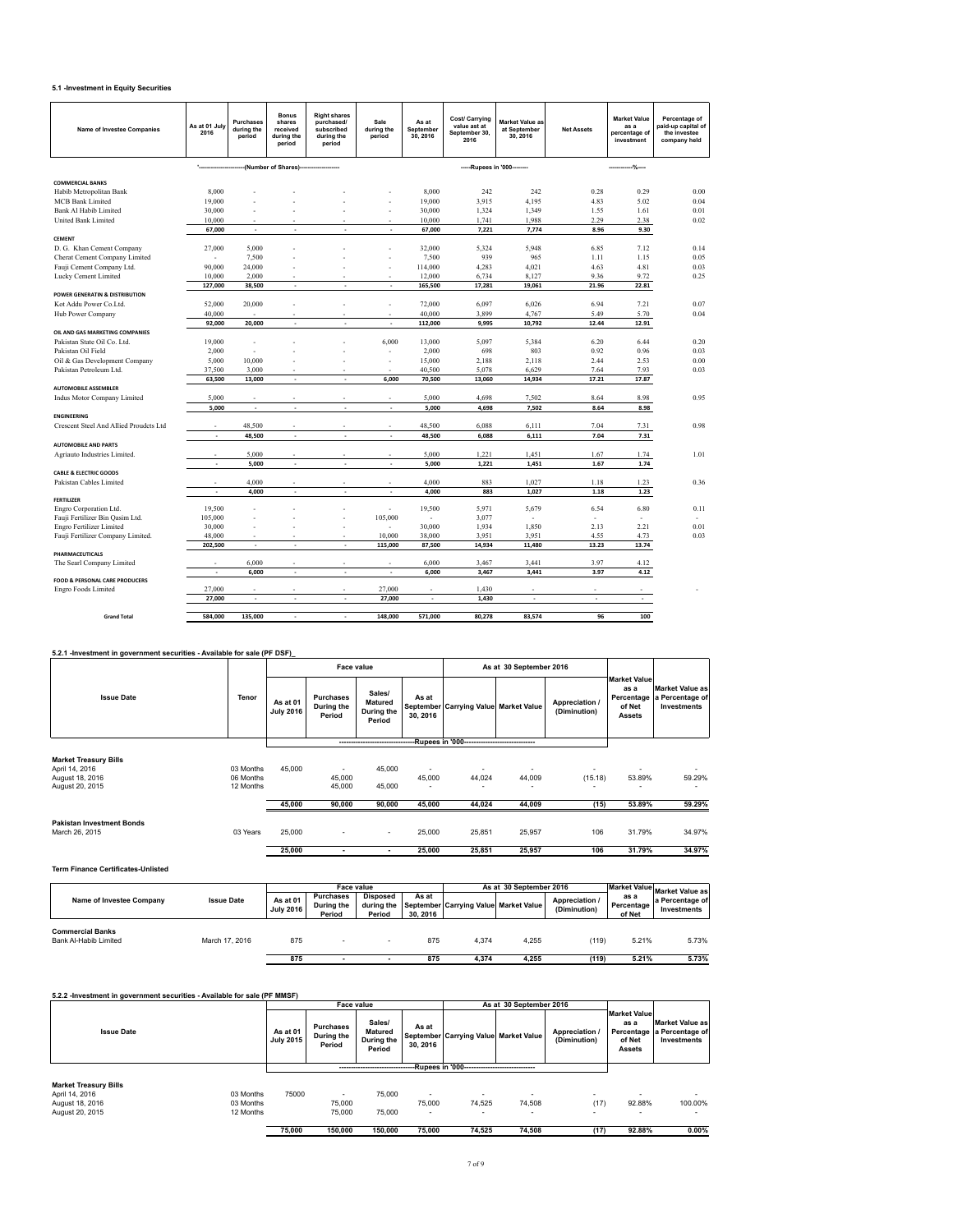# **5.1 -Investment in Equity Securities**

**Term Finance Certificates-Unlisted**

| <b>Name of Investee Companies</b>                                        | As at 01 July<br>2016 | Purchases<br>during the<br>period | <b>Bonus</b><br>shares<br>received<br>during the<br>period | <b>Right shares</b><br>purchased/<br>subscribed<br>during the<br>period | Sale<br>during the<br>period                     | As at<br>September<br>30, 2016 | Cost/ Carrying<br>value ast at<br>September 30,<br>2016                           | <b>Market Value as</b><br>at September<br>30, 2016 | <b>Net Assets</b>              | <b>Market Value</b><br>as a<br>percentage of<br>investment | Percentage of<br>paid-up capital of<br>the investee<br>company held |
|--------------------------------------------------------------------------|-----------------------|-----------------------------------|------------------------------------------------------------|-------------------------------------------------------------------------|--------------------------------------------------|--------------------------------|-----------------------------------------------------------------------------------|----------------------------------------------------|--------------------------------|------------------------------------------------------------|---------------------------------------------------------------------|
|                                                                          |                       |                                   | -(Number of Shares)-                                       |                                                                         |                                                  |                                | -----Rupees in '000--------                                                       |                                                    |                                | $\frac{9}{2}$                                              |                                                                     |
| <b>COMMERCIAL BANKS</b>                                                  |                       |                                   |                                                            |                                                                         |                                                  |                                |                                                                                   |                                                    |                                |                                                            |                                                                     |
| Habib Metropolitan Bank                                                  | 8,000                 |                                   |                                                            |                                                                         |                                                  | 8,000                          | 242                                                                               | 242                                                | 0.28                           | 0.29                                                       | 0.00                                                                |
| <b>MCB Bank Limited</b>                                                  | 19,000                |                                   |                                                            |                                                                         |                                                  | 19,000                         | 3,915                                                                             | 4,195                                              | 4.83                           | 5.02                                                       | 0.04                                                                |
| Bank Al Habib Limited                                                    | 30,000                |                                   |                                                            |                                                                         | l,                                               | 30,000                         | 1,324                                                                             | 1,349                                              | 1.55                           | 1.61                                                       | 0.01                                                                |
| <b>United Bank Limited</b>                                               | 10.000                |                                   |                                                            |                                                                         |                                                  | 10.000                         | 1,741                                                                             | 1.988                                              | 2.29                           | 2.38                                                       | 0.02                                                                |
| CEMENT                                                                   | 67,000                | $\overline{\phantom{a}}$          | ٠                                                          | ÷                                                                       | ×,                                               | 67,000                         | 7,221                                                                             | 7,774                                              | 8.96                           | 9.30                                                       |                                                                     |
| D. G. Khan Cement Company                                                | 27,000                | 5,000                             |                                                            |                                                                         |                                                  | 32,000                         | 5,324                                                                             | 5,948                                              | 6.85                           | 7.12                                                       | 0.14                                                                |
| Cherat Cement Company Limited                                            |                       | 7,500                             |                                                            |                                                                         |                                                  | 7,500                          | 939                                                                               | 965                                                | 1.11                           | 1.15                                                       | 0.05                                                                |
| Fauji Cement Company Ltd.                                                | 90,000                | 24,000                            |                                                            |                                                                         |                                                  | 114,000                        | 4,283                                                                             | 4,021                                              | 4.63                           | 4.81                                                       | 0.03                                                                |
| Lucky Cement Limited                                                     | 10.000                | 2.000                             |                                                            |                                                                         |                                                  | 12.000                         | 6,734                                                                             | 8.127                                              | 9.36                           | 9.72                                                       | 0.25                                                                |
|                                                                          | 127,000               | 38,500                            | ÷,                                                         | ÷,                                                                      | ÷,                                               | 165,500                        | 17,281                                                                            | 19,061                                             | 21.96                          | 22.81                                                      |                                                                     |
| POWER GENERATIN & DISTRIBUTION                                           |                       |                                   |                                                            |                                                                         |                                                  |                                |                                                                                   |                                                    |                                |                                                            |                                                                     |
| Kot Addu Power Co.Ltd.                                                   | 52,000                | 20,000                            |                                                            |                                                                         | Ĭ.                                               | 72,000                         | 6,097                                                                             | 6,026                                              | 6.94                           | 7.21                                                       | 0.07                                                                |
| Hub Power Company                                                        | 40,000                |                                   |                                                            |                                                                         |                                                  | 40,000                         | 3,899                                                                             | 4,767                                              | 5.49                           | 5.70                                                       | 0.04                                                                |
| OIL AND GAS MARKETING COMPANIES                                          | 92,000                | 20,000                            | ÷,                                                         | ÷                                                                       |                                                  | 112,000                        | 9,995                                                                             | 10,792                                             | 12.44                          | 12.91                                                      |                                                                     |
| Pakistan State Oil Co. Ltd.                                              | 19,000                | ÷                                 |                                                            | J.                                                                      | 6,000                                            | 13,000                         | 5,097                                                                             | 5,384                                              | 6.20                           | 6.44                                                       | 0.20                                                                |
| Pakistan Oil Field                                                       | 2,000                 |                                   |                                                            |                                                                         |                                                  | 2,000                          | 698                                                                               | 803                                                | 0.92                           | 0.96                                                       | 0.03                                                                |
| Oil & Gas Development Company                                            | 5,000                 | 10,000                            |                                                            |                                                                         | $\overline{a}$                                   | 15,000                         | 2,188                                                                             | 2,118                                              | 2.44                           | 2.53                                                       | 0.00                                                                |
| Pakistan Petroleum Ltd.                                                  | 37,500                | 3,000                             |                                                            |                                                                         |                                                  | 40,500                         | 5,078                                                                             | 6,629                                              | 7.64                           | 7.93                                                       | 0.03                                                                |
|                                                                          | 63,500                | 13,000                            |                                                            | $\overline{a}$                                                          | 6,000                                            | 70,500                         | 13,060                                                                            | 14,934                                             | 17.21                          | 17.87                                                      |                                                                     |
| <b>AUTOMOBILE ASSEMBLER</b>                                              |                       |                                   |                                                            |                                                                         |                                                  |                                |                                                                                   |                                                    |                                |                                                            |                                                                     |
| Indus Motor Company Limited                                              | 5,000                 |                                   |                                                            |                                                                         |                                                  | 5,000                          | 4,698                                                                             | 7,502                                              | 8.64                           | 8.98                                                       | 0.95                                                                |
| <b>ENGINEERING</b>                                                       | 5,000                 |                                   |                                                            |                                                                         |                                                  | 5,000                          | 4,698                                                                             | 7,502                                              | 8.64                           | 8.98                                                       |                                                                     |
| Crescent Steel And Allied Proudcts Ltd                                   |                       | 48,500                            |                                                            |                                                                         |                                                  | 48,500                         | 6,088                                                                             | 6,111                                              | 7.04                           | 7.31                                                       | 0.98                                                                |
|                                                                          |                       | 48,500                            |                                                            |                                                                         |                                                  | 48,500                         | 6,088                                                                             | 6,111                                              | 7.04                           | 7.31                                                       |                                                                     |
| <b>AUTOMOBILE AND PARTS</b>                                              |                       |                                   |                                                            |                                                                         |                                                  |                                |                                                                                   |                                                    |                                |                                                            |                                                                     |
| Agriauto Industries Limited.                                             |                       | 5,000                             |                                                            |                                                                         |                                                  | 5,000                          | 1,221                                                                             | 1,451                                              | 1.67                           | 1.74                                                       | 1.01                                                                |
|                                                                          | ÷                     | 5,000                             | ÷,                                                         | ÷,                                                                      | ÷                                                | 5,000                          | 1,221                                                                             | 1,451                                              | 1.67                           | 1.74                                                       |                                                                     |
| <b>CABLE &amp; ELECTRIC GOODS</b>                                        |                       |                                   |                                                            |                                                                         |                                                  |                                |                                                                                   |                                                    |                                |                                                            |                                                                     |
| Pakistan Cables Limited                                                  |                       | 4,000                             |                                                            |                                                                         |                                                  | 4,000                          | 883                                                                               | 1,027                                              | 1.18                           | 1.23                                                       | 0.36                                                                |
| <b>FERTILIZER</b>                                                        | ÷,                    | 4,000                             | $\overline{a}$                                             | ÷,                                                                      |                                                  | 4,000                          | 883                                                                               | 1,027                                              | 1.18                           | 1.23                                                       |                                                                     |
| Engro Corporation Ltd.                                                   | 19,500                |                                   |                                                            |                                                                         |                                                  | 19,500                         | 5,971                                                                             | 5,679                                              | 6.54                           | 6.80                                                       | 0.11                                                                |
| Fauji Fertilizer Bin Qasim Ltd.                                          | 105,000               |                                   |                                                            |                                                                         | 105,000                                          |                                | 3,077                                                                             |                                                    |                                |                                                            |                                                                     |
| <b>Engro Fertilizer Limited</b>                                          | 30,000                |                                   |                                                            |                                                                         |                                                  | 30,000                         | 1,934                                                                             | 1,850                                              | 2.13                           | 2.21                                                       | 0.01                                                                |
| Fauji Fertilizer Company Limited.                                        | 48,000                |                                   |                                                            |                                                                         | 10,000                                           | 38,000                         | 3,951                                                                             | 3,951                                              | 4.55                           | 4.73                                                       | 0.03                                                                |
| PHARMACEUTICALS                                                          | 202,500               | $\sim$                            | ÷,                                                         | ÷,                                                                      | 115,000                                          | 87,500                         | 14,934                                                                            | 11,480                                             | 13.23                          | 13.74                                                      |                                                                     |
| The Searl Company Limited                                                |                       | 6,000                             |                                                            |                                                                         |                                                  | 6.000                          | 3,467                                                                             | 3,441                                              | 3.97                           | 4.12                                                       |                                                                     |
|                                                                          | ÷                     | 6,000                             | $\overline{\phantom{a}}$                                   | ÷,                                                                      |                                                  | 6,000                          | 3,467                                                                             | 3,441                                              | 3.97                           | 4.12                                                       |                                                                     |
| <b>FOOD &amp; PERSONAL CARE PRODUCERS</b>                                |                       |                                   |                                                            |                                                                         |                                                  |                                |                                                                                   |                                                    |                                |                                                            |                                                                     |
| <b>Engro Foods Limited</b>                                               | 27,000                |                                   |                                                            |                                                                         | 27,000                                           |                                | 1,430                                                                             |                                                    |                                |                                                            |                                                                     |
|                                                                          | 27,000                | $\overline{\phantom{a}}$          | $\ddot{\phantom{0}}$                                       | ÷,                                                                      | 27,000                                           | ÷                              | 1,430                                                                             | ÷                                                  | $\overline{\phantom{a}}$       | $\sim$                                                     |                                                                     |
| <b>Grand Total</b>                                                       | 584,000               | 135,000                           |                                                            | $\overline{\phantom{a}}$                                                | 148,000                                          | 571,000                        | 80,278                                                                            | 83,574                                             | 96                             | 100                                                        |                                                                     |
|                                                                          |                       |                                   |                                                            |                                                                         |                                                  |                                |                                                                                   |                                                    |                                |                                                            |                                                                     |
| 5.2.1 -Investment in government securities - Available for sale (PF DSF) |                       |                                   |                                                            | Face value                                                              |                                                  |                                |                                                                                   | As at 30 September 2016                            |                                |                                                            |                                                                     |
|                                                                          |                       |                                   |                                                            |                                                                         |                                                  |                                |                                                                                   |                                                    |                                | <b>Market Value</b>                                        |                                                                     |
| <b>Issue Date</b>                                                        |                       | Tenor                             | As at 01<br><b>July 2016</b>                               | <b>Purchases</b><br><b>During the</b><br>Period                         | Sales/<br><b>Matured</b><br>During the<br>Period | As at<br>30.2016               | September Carrying Value Market Value                                             |                                                    | Appreciation /<br>(Diminution) | as a<br>Percentage<br>of Net<br><b>Assets</b>              | <b>Market Value as</b><br>a Percentage of<br>Investments            |
|                                                                          |                       |                                   |                                                            |                                                                         |                                                  |                                | ------------------------------------Rupees in '000------------------------------- |                                                    |                                |                                                            |                                                                     |
|                                                                          |                       |                                   |                                                            |                                                                         |                                                  |                                |                                                                                   |                                                    |                                |                                                            |                                                                     |
| <b>Market Treasury Bills</b><br>April 14, 2016                           |                       | 03 Months                         | 45,000                                                     |                                                                         | 45,000                                           |                                |                                                                                   |                                                    |                                |                                                            |                                                                     |

| August 18, 2016                  | 06 Months |        | 45.000                   |        | 45.000 | 44.024 | 44.009 | (15.18) | 53.89% | 59.29% |
|----------------------------------|-----------|--------|--------------------------|--------|--------|--------|--------|---------|--------|--------|
| August 20, 2015                  | 12 Months |        | 45.000                   | 45,000 | -      |        | . .    |         |        | $\sim$ |
|                                  |           | 45,000 | 90.000                   | 90,000 | 45.000 | 44.024 | 44.009 | (15)    | 53.89% | 59.29% |
| <b>Pakistan Investment Bonds</b> |           |        |                          |        |        |        |        |         |        |        |
| March 26, 2015                   | 03 Years  | 25,000 | $\overline{\phantom{a}}$ | $\sim$ | 25,000 | 25.851 | 25.957 | 106     | 31.79% | 34.97% |
|                                  |           | 25.000 | ۰                        | $\sim$ | 25,000 | 25.851 | 25.957 | 106     | 31.79% | 34.97% |
|                                  |           |        |                          |        |        |        |        |         |        |        |

 **As at 01 July 2016 Purchases During the Period Disposed during the Period** As at **Carrying Value** Market Value **Appreciation /** September Carrying Value Market Value **Appreciation** / Appreciation /<br>(Diminution) **Commercial Banks** Bank Al-Habib Limited 875 - - 875 4,374 4,255 (119) 5.21% 5.73%  **875 - - 875 4,374 4,255 (119) 5.21% 5.73% Face value As at 30 September 2016 Market Value as a Percentage of Net Market Value as a Percentage of Investments Name of Investee Company Issue Date** March 17, 2016

| 5.2.2 -Investment in government securities - Available for sale (PF MMSF) |           |                              |                                          |                                                  |                  |                                                |                          |                                |                                                        |                                                              |
|---------------------------------------------------------------------------|-----------|------------------------------|------------------------------------------|--------------------------------------------------|------------------|------------------------------------------------|--------------------------|--------------------------------|--------------------------------------------------------|--------------------------------------------------------------|
|                                                                           |           |                              | Face value                               |                                                  |                  |                                                | As at 30 September 2016  |                                |                                                        |                                                              |
| <b>Issue Date</b>                                                         |           | As at 01<br><b>July 2015</b> | <b>Purchases</b><br>During the<br>Period | Sales/<br><b>Matured</b><br>During the<br>Period | As at<br>30.2016 | September   Carrying Value   Market Value      |                          | Appreciation /<br>(Diminution) | <b>Market Value</b><br>as a<br>of Net<br><b>Assets</b> | Market Value as<br>Percentage a Percentage of<br>Investments |
|                                                                           |           |                              |                                          |                                                  |                  | -Rupees in '000------------------------------- |                          |                                |                                                        |                                                              |
| <b>Market Treasury Bills</b><br>April 14, 2016                            | 03 Months | 75000                        | ۰                                        | 75,000                                           | -                | $\overline{\phantom{a}}$                       | $\overline{\phantom{a}}$ | $\overline{\phantom{a}}$       | $\overline{\phantom{a}}$                               |                                                              |
| August 18, 2016                                                           | 03 Months |                              | 75,000                                   |                                                  | 75,000           | 74.525                                         | 74.508                   | (17)                           | 92.88%                                                 | 100.00%                                                      |
| August 20, 2015                                                           | 12 Months |                              | 75,000                                   | 75,000                                           | ۰                | ۰                                              | ٠                        | ۰                              |                                                        |                                                              |
|                                                                           |           | 75,000                       | 150.000                                  | 150.000                                          | 75,000           | 74.525                                         | 74.508                   | (17)                           | 92.88%                                                 | 0.00%                                                        |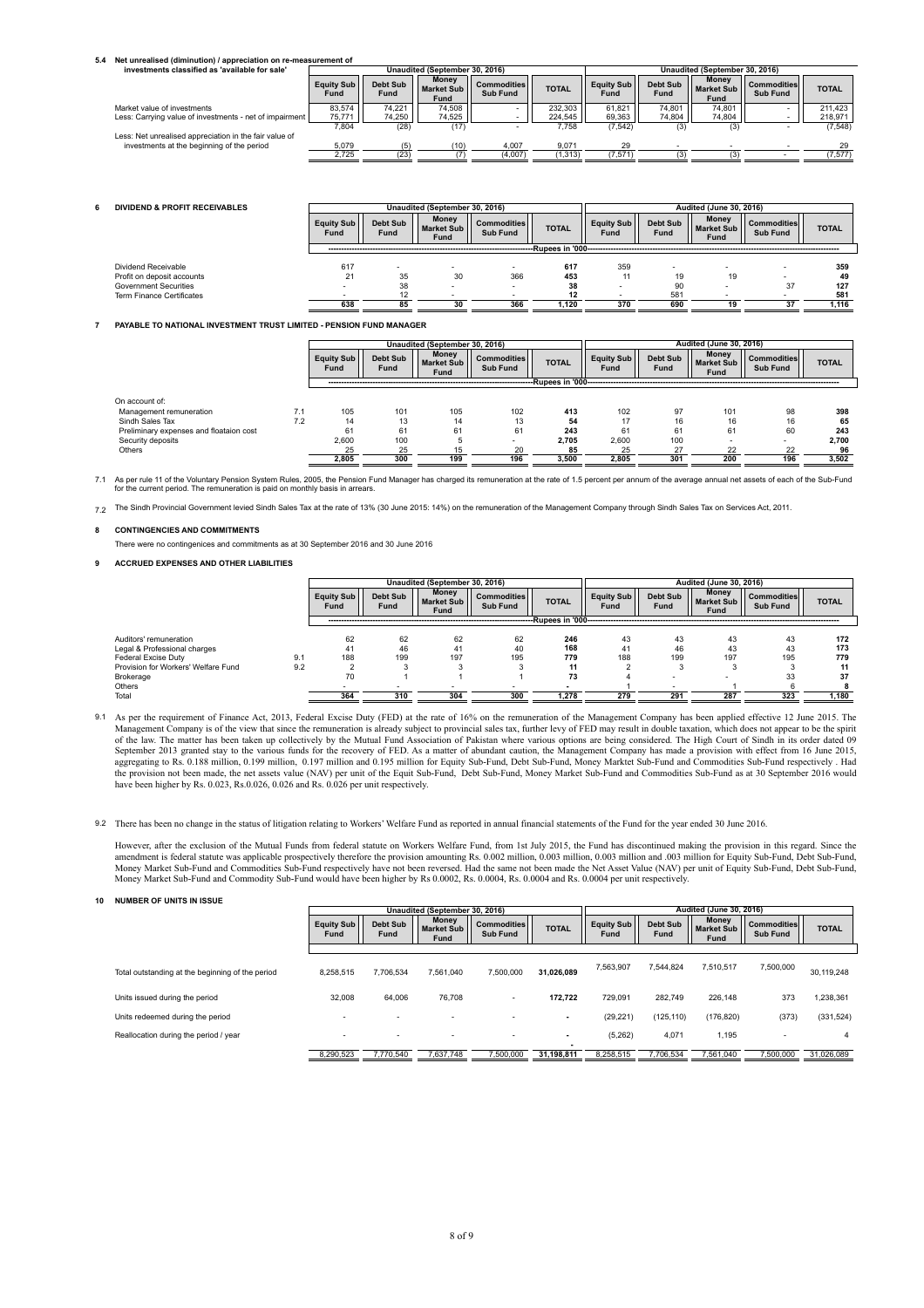# **5.4 Net unrealised (diminution) / appreciation on re-measurement of**

| investments classified as 'available for sale'          |                           |                  | Unaudited (September 30, 2016)            |                                |              |                           |                  | Unaudited (September 30, 2016)     |                                       |              |
|---------------------------------------------------------|---------------------------|------------------|-------------------------------------------|--------------------------------|--------------|---------------------------|------------------|------------------------------------|---------------------------------------|--------------|
|                                                         | <b>Equity Sub</b><br>Fund | Debt Sub<br>Fund | <b>Money</b><br><b>Market Sub</b><br>Fund | <b>Commodities</b><br>Sub Fund | <b>TOTAL</b> | <b>Equity Sub</b><br>Fund | Debt Sub<br>Fund | Money<br><b>Market Sub</b><br>Fund | <b>Commodities</b><br><b>Sub Fund</b> | <b>TOTAL</b> |
| Market value of investments                             | 83.574                    | 74.221           | 74.508                                    | -                              | 232.303      | 61.821                    | 74.801           | 74.801                             | -                                     | 211.423      |
| Less: Carrying value of investments - net of impairment | 75.771                    | 74,250           | 74.525                                    |                                | 224.545      | 69.363                    | 74.804           | 74.804                             |                                       | 218.971      |
|                                                         | 7.804                     | (28)             | (17)                                      | -                              | 7.758        | (7,542)                   | (3)              |                                    | $\overline{\phantom{0}}$              | (7, 548)     |
| Less: Net unrealised appreciation in the fair value of  |                           |                  |                                           |                                |              |                           |                  |                                    |                                       |              |
| investments at the beginning of the period              | 5,079                     |                  | (10)                                      | 4.007                          | 9.071        | 29                        |                  |                                    |                                       | 29           |
|                                                         | 2,725                     | (23)             |                                           | (4,007)                        | (1, 313)     | (7.571)                   |                  |                                    |                                       | (7, 577)     |

| 6 | <b>DIVIDEND &amp; PROFIT RECEIVABLES</b> |                          |                          | Unaudited (September 30, 2016)     |                                |                    |                           |                  |                             | <b>Audited (June 30, 2016)</b>        |              |  |  |  |
|---|------------------------------------------|--------------------------|--------------------------|------------------------------------|--------------------------------|--------------------|---------------------------|------------------|-----------------------------|---------------------------------------|--------------|--|--|--|
|   |                                          | Equity Sub<br>Fund       | Debt Sub<br><b>Fund</b>  | <b>Money</b><br>Market Sub<br>Fund | <b>Commodities</b><br>Sub Fund | <b>TOTAL</b>       | <b>Equity Sub</b><br>Fund | Debt Sub<br>Fund | Money<br>Market Sub<br>Fund | <b>Commodities</b><br><b>Sub Fund</b> | <b>TOTAL</b> |  |  |  |
|   |                                          |                          |                          |                                    |                                | -Rupees in '000--- |                           |                  |                             |                                       |              |  |  |  |
|   | Dividend Receivable                      | 617                      | $\overline{\phantom{a}}$ |                                    |                                | 617                | 359                       |                  |                             | <b>.</b>                              | 359          |  |  |  |
|   | Profit on deposit accounts               | 21                       | 35                       | 30                                 | 366                            | 453                |                           | 19               | 19                          |                                       | 49           |  |  |  |
|   | <b>Government Securities</b>             |                          | 38                       |                                    |                                | 38                 |                           | 90               |                             | 37                                    | 127          |  |  |  |
|   | <b>Term Finance Certificates</b>         | $\overline{\phantom{0}}$ | 12                       |                                    | -                              | 12                 | -                         | 581              | $\overline{\phantom{0}}$    |                                       | 581          |  |  |  |
|   |                                          | 638                      | 85                       | 30                                 | 366                            | 1.120              | 370                       | 690              | 19                          | 37                                    | 1.116        |  |  |  |
|   |                                          |                          |                          |                                    |                                |                    |                           |                  |                             |                                       |              |  |  |  |

### **7 PAYABLE TO NATIONAL INVESTMENT TRUST LIMITED - PENSION FUND MANAGER**

|                                         |     | Unaudited (September 30, 2016) |                         |                                           |                                |                   | <b>Audited (June 30, 2016)</b> |                  |                             |                                       |              |  |
|-----------------------------------------|-----|--------------------------------|-------------------------|-------------------------------------------|--------------------------------|-------------------|--------------------------------|------------------|-----------------------------|---------------------------------------|--------------|--|
|                                         |     | Equity Sub<br>Fund             | Debt Sub<br><b>Fund</b> | <b>Money</b><br><b>Market Sub</b><br>Fund | <b>Commodities</b><br>Sub Fund | <b>TOTAL</b>      | <b>Equity Sub</b><br>Fund      | Debt Sub<br>Fund | Money<br>Market Sub<br>Fund | <b>Commodities</b><br><b>Sub Fund</b> | <b>TOTAL</b> |  |
|                                         |     |                                |                         |                                           |                                | -Rupees in '000-- |                                |                  |                             |                                       |              |  |
| On account of:                          |     |                                |                         |                                           |                                |                   |                                |                  |                             |                                       |              |  |
| Management remuneration                 | 7.1 | 105                            | 101                     | 105                                       | 102                            | 413               | 102                            | 97               | 101                         | 98                                    | 398          |  |
| Sindh Sales Tax                         | 7.2 | 14                             | 13                      | 14                                        | 13                             | 54                |                                | 16               | 16                          | 16                                    | 65           |  |
| Preliminary expenses and floataion cost |     | 61                             | 61                      | 61                                        | 61                             | 243               | 61                             | 61               | 61                          | 60                                    | 243          |  |
| Security deposits                       |     | 2,600                          | 100                     |                                           |                                | 2.705             | 2,600                          | 100              |                             |                                       | 2.700        |  |
| Others                                  |     | 25                             | 25                      | 15                                        | 20                             | 85                | 25                             | 27               | 22                          | 22                                    | 96           |  |
|                                         |     | 2.805                          | 300                     | 199                                       | 196                            | 3.500             | 2.805                          | 301              | 200                         | 196                                   | 3,502        |  |

7.1 As per rule 11 of the Voluntary Pension System Rules, 2005, the Pension Fund Manager has charged its remuneration at the rate of 1.5 percent per annum of the average annual net assets of each of the Sub-Fund<br>for the curren

7.2 The Sindh Provincial Government levied Sindh Sales Tax at the rate of 13% (30 June 2015: 14%) on the remuneration of the Management Company through Sindh Sales Tax on Services Act, 2011.

#### **8 CONTINGENCIES AND COMMITMENTS**

There were no contingenices and commitments as at 30 September 2016 and 30 June 2016

### **9 ACCRUED EXPENSES AND OTHER LIABILITIES**

|                                     |     | Unaudited (September 30, 2016) |                         |                                    |                                |                   |                           | Audited (June 30, 2016) |                               |                                       |              |  |  |
|-------------------------------------|-----|--------------------------------|-------------------------|------------------------------------|--------------------------------|-------------------|---------------------------|-------------------------|-------------------------------|---------------------------------------|--------------|--|--|
|                                     |     | Equity Sub<br>Fund             | <b>Debt Sub</b><br>Fund | Money<br><b>Market Sub</b><br>Fund | <b>Commodities</b><br>Sub Fund | <b>TOTAL</b>      | <b>Equity Sub</b><br>Fund | Debt Sub<br>Fund        | Money<br>Market Sub I<br>Fund | <b>Commodities</b><br><b>Sub Fund</b> | <b>TOTAL</b> |  |  |
|                                     |     |                                |                         |                                    |                                | Rupees in '000--- |                           |                         |                               |                                       |              |  |  |
| Auditors' remuneration              |     | 62                             | 62                      | 62                                 | 62                             | 246               | 43                        | 43                      | 43                            | 43                                    | 172          |  |  |
| Legal & Professional charges        |     |                                | 46                      | 41                                 | 40                             | 168               | 41                        | 46                      | 43                            | 43                                    | 173          |  |  |
| Federal Excise Duty                 | 9.1 | 188                            | 199                     | 197                                | 195                            | 779               | 188                       | 199                     | 197                           | 195                                   | 779          |  |  |
| Provision for Workers' Welfare Fund | 9.2 |                                |                         |                                    |                                | 11                |                           |                         |                               |                                       |              |  |  |
| Brokerage                           |     | 70                             |                         |                                    |                                | 73                |                           |                         |                               | 33                                    | 37           |  |  |
| Others                              |     |                                |                         |                                    |                                |                   |                           |                         |                               |                                       |              |  |  |
| Total                               |     | 364                            | 310                     | 304                                | 300                            | 1.278             | 279                       | 291                     | 287                           | 323                                   | 1.180        |  |  |

9.1 As per the requirement of Finance Act, 2013, Federal Excise Duty (FED) at the rate of 16% on the remuneration of the Management Company has been applied effective 12 June 2015. The Management Company is of the view tha the provision not been made, the net assets value (NAV) per unit of the Equit Sub-Fund, Debt Sub-Fund, Money Market Sub-Fund and Commodities Sub-Fund as at 30 September 2016 would have been higher by Rs. 0.023, Rs.0.026, 0.026 and Rs. 0.026 per unit respectively.

9.2 There has been no change in the status of litigation relating to Workers' Welfare Fund as reported in annual financial statements of the Fund for the year ended 30 June 2016.

However, after the exclusion of the Mutual Funds from federal statute on Workers Welfare Fund, from 1st July 2015, the Fund has discontinued making the provision in this regard. Since the amendment is federal statute was a

### **10 NUMBER OF UNITS IN ISSUE**

|                                                  |                           |                          | Unaudited (September 30, 2016)     |                                |              | Audited (June 30, 2016) |                  |                                    |                                       |              |  |  |
|--------------------------------------------------|---------------------------|--------------------------|------------------------------------|--------------------------------|--------------|-------------------------|------------------|------------------------------------|---------------------------------------|--------------|--|--|
|                                                  | <b>Equity Sub</b><br>Fund | <b>Debt Sub</b><br>Fund  | Money<br><b>Market Sub</b><br>Fund | <b>Commodities</b><br>Sub Fund | <b>TOTAL</b> | Equity Sub<br>Fund      | Debt Sub<br>Fund | Money<br><b>Market Sub</b><br>Fund | <b>Commodities</b><br><b>Sub Fund</b> | <b>TOTAL</b> |  |  |
|                                                  |                           |                          |                                    |                                |              |                         |                  |                                    |                                       |              |  |  |
| Total outstanding at the beginning of the period | 8.258.515                 | 7.706.534                | 7,561,040                          | 7,500,000                      | 31.026.089   | 7,563,907               | 7.544.824        | 7.510.517                          | 7,500,000                             | 30,119,248   |  |  |
| Units issued during the period                   | 32,008                    | 64.006                   | 76.708                             | ۰.                             | 172.722      | 729.091                 | 282.749          | 226.148                            | 373                                   | 1,238,361    |  |  |
| Units redeemed during the period                 |                           | $\overline{\phantom{0}}$ |                                    |                                |              | (29, 221)               | (125, 110)       | (176, 820)                         | (373)                                 | (331, 524)   |  |  |
| Reallocation during the period / year            |                           | ۰                        |                                    |                                | ٠            | (5,262)                 | 4,071            | 1.195                              |                                       | 4            |  |  |
|                                                  | 8,290,523                 | 7.770.540                | 7,637,748                          | 7,500,000                      | 31.198.811   | 8.258.515               | 7.706.534        | 7.561.040                          | 7,500,000                             | 31,026,089   |  |  |